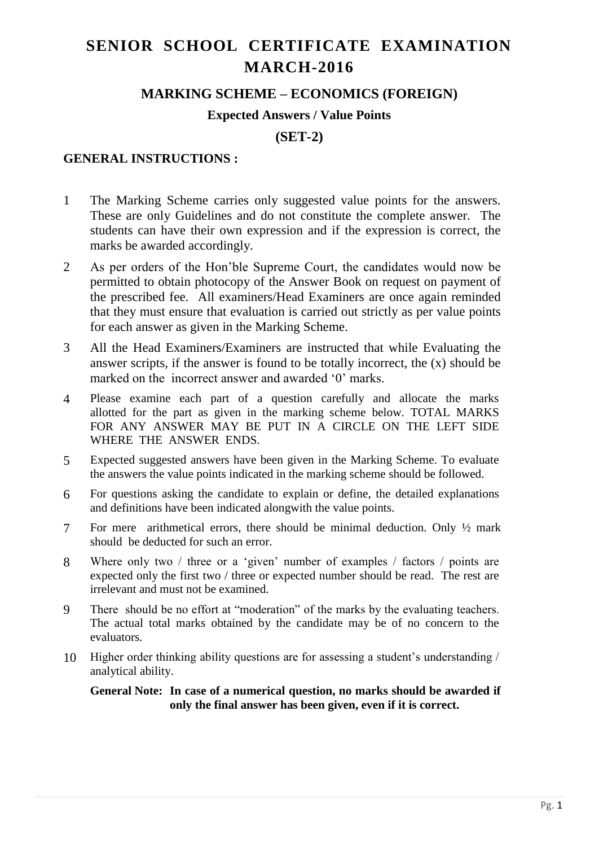# **SENIOR SCHOOL CERTIFICATE EXAMINATION MARCH-2016**

## **MARKING SCHEME – ECONOMICS (FOREIGN)**

### **Expected Answers / Value Points**

**(SET-2)**

### **GENERAL INSTRUCTIONS :**

- 1 The Marking Scheme carries only suggested value points for the answers. These are only Guidelines and do not constitute the complete answer. The students can have their own expression and if the expression is correct, the marks be awarded accordingly.
- 2 As per orders of the Hon'ble Supreme Court, the candidates would now be permitted to obtain photocopy of the Answer Book on request on payment of the prescribed fee. All examiners/Head Examiners are once again reminded that they must ensure that evaluation is carried out strictly as per value points for each answer as given in the Marking Scheme.
- 3 All the Head Examiners/Examiners are instructed that while Evaluating the answer scripts, if the answer is found to be totally incorrect, the (x) should be marked on the incorrect answer and awarded '0' marks.
- 4 Please examine each part of a question carefully and allocate the marks allotted for the part as given in the marking scheme below. TOTAL MARKS FOR ANY ANSWER MAY BE PUT IN A CIRCLE ON THE LEFT SIDE WHERE THE ANSWER ENDS.
- 5 Expected suggested answers have been given in the Marking Scheme. To evaluate the answers the value points indicated in the marking scheme should be followed.
- 6 For questions asking the candidate to explain or define, the detailed explanations and definitions have been indicated alongwith the value points.
- 7 For mere arithmetical errors, there should be minimal deduction. Only ½ mark should be deducted for such an error.
- 8 Where only two / three or a 'given' number of examples / factors / points are expected only the first two / three or expected number should be read. The rest are irrelevant and must not be examined.
- 9 There should be no effort at "moderation" of the marks by the evaluating teachers. The actual total marks obtained by the candidate may be of no concern to the evaluators.
- 10 Higher order thinking ability questions are for assessing a student's understanding / analytical ability.

#### **General Note: In case of a numerical question, no marks should be awarded if only the final answer has been given, even if it is correct.**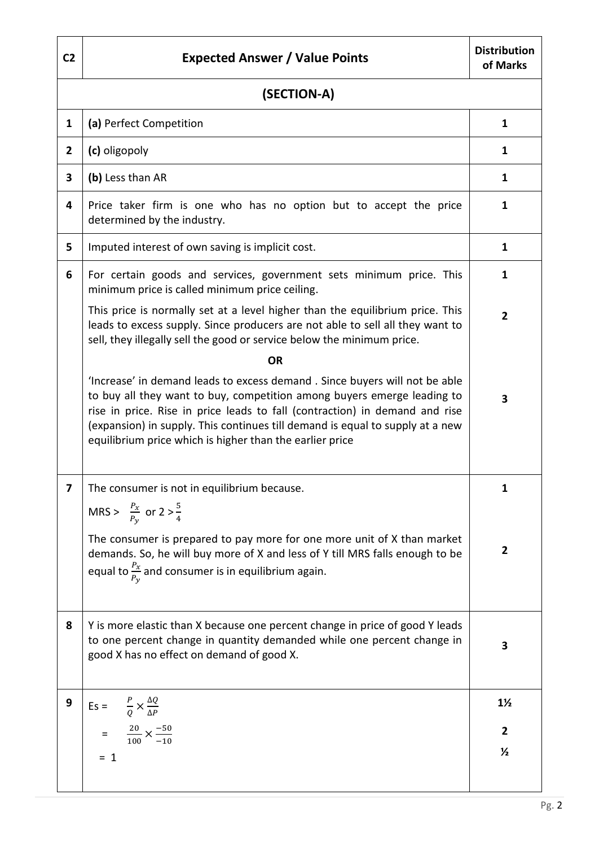| C <sub>2</sub> | <b>Expected Answer / Value Points</b>                                                                                                                                                                                                                                                                                                                                             | <b>Distribution</b><br>of Marks |  |  |
|----------------|-----------------------------------------------------------------------------------------------------------------------------------------------------------------------------------------------------------------------------------------------------------------------------------------------------------------------------------------------------------------------------------|---------------------------------|--|--|
|                | (SECTION-A)                                                                                                                                                                                                                                                                                                                                                                       |                                 |  |  |
| $\mathbf{1}$   | (a) Perfect Competition                                                                                                                                                                                                                                                                                                                                                           | $\mathbf{1}$                    |  |  |
| $\mathbf{2}$   | (c) oligopoly                                                                                                                                                                                                                                                                                                                                                                     | $\mathbf{1}$                    |  |  |
| 3              | (b) Less than AR                                                                                                                                                                                                                                                                                                                                                                  | $\mathbf{1}$                    |  |  |
| 4              | Price taker firm is one who has no option but to accept the price<br>determined by the industry.                                                                                                                                                                                                                                                                                  | 1                               |  |  |
| 5              | Imputed interest of own saving is implicit cost.                                                                                                                                                                                                                                                                                                                                  | $\mathbf{1}$                    |  |  |
| 6              | For certain goods and services, government sets minimum price. This<br>minimum price is called minimum price ceiling.                                                                                                                                                                                                                                                             |                                 |  |  |
|                | This price is normally set at a level higher than the equilibrium price. This<br>leads to excess supply. Since producers are not able to sell all they want to<br>sell, they illegally sell the good or service below the minimum price.                                                                                                                                          | $\overline{2}$                  |  |  |
|                | <b>OR</b>                                                                                                                                                                                                                                                                                                                                                                         |                                 |  |  |
|                | 'Increase' in demand leads to excess demand. Since buyers will not be able<br>to buy all they want to buy, competition among buyers emerge leading to<br>rise in price. Rise in price leads to fall (contraction) in demand and rise<br>(expansion) in supply. This continues till demand is equal to supply at a new<br>equilibrium price which is higher than the earlier price | $\overline{\mathbf{3}}$         |  |  |
| 7              | The consumer is not in equilibrium because<br>MRS > $\frac{P_x}{P_y}$ or 2 > $\frac{5}{4}$                                                                                                                                                                                                                                                                                        | 1                               |  |  |
|                | The consumer is prepared to pay more for one more unit of X than market<br>demands. So, he will buy more of X and less of Y till MRS falls enough to be<br>equal to $\frac{P_x}{P_y}$ and consumer is in equilibrium again.                                                                                                                                                       | $\overline{2}$                  |  |  |
| 8              | Y is more elastic than X because one percent change in price of good Y leads<br>to one percent change in quantity demanded while one percent change in<br>good X has no effect on demand of good X.                                                                                                                                                                               | 3                               |  |  |
| 9              | Es = $\frac{P}{Q} \times \frac{\Delta Q}{\Delta P}$                                                                                                                                                                                                                                                                                                                               | $1\frac{1}{2}$                  |  |  |
|                | $=\frac{20}{100} \times \frac{-50}{-10}$                                                                                                                                                                                                                                                                                                                                          | $\overline{2}$                  |  |  |
|                | $= 1$                                                                                                                                                                                                                                                                                                                                                                             | $\frac{1}{2}$                   |  |  |
|                |                                                                                                                                                                                                                                                                                                                                                                                   |                                 |  |  |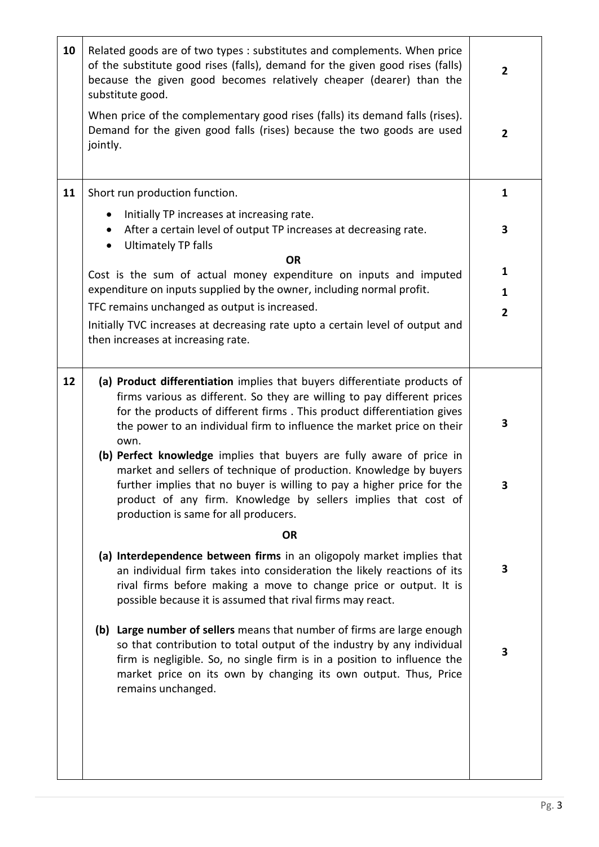| 10 | Related goods are of two types : substitutes and complements. When price<br>of the substitute good rises (falls), demand for the given good rises (falls)<br>because the given good becomes relatively cheaper (dearer) than the<br>substitute good.                                                                                     |                |  |  |
|----|------------------------------------------------------------------------------------------------------------------------------------------------------------------------------------------------------------------------------------------------------------------------------------------------------------------------------------------|----------------|--|--|
|    | When price of the complementary good rises (falls) its demand falls (rises).<br>Demand for the given good falls (rises) because the two goods are used<br>jointly.                                                                                                                                                                       | $\overline{2}$ |  |  |
| 11 | Short run production function.                                                                                                                                                                                                                                                                                                           | 1              |  |  |
|    | Initially TP increases at increasing rate.<br>$\bullet$                                                                                                                                                                                                                                                                                  | 3              |  |  |
|    | After a certain level of output TP increases at decreasing rate.<br>$\bullet$<br><b>Ultimately TP falls</b><br>$\bullet$                                                                                                                                                                                                                 |                |  |  |
|    | <b>OR</b>                                                                                                                                                                                                                                                                                                                                | 1              |  |  |
|    | Cost is the sum of actual money expenditure on inputs and imputed                                                                                                                                                                                                                                                                        |                |  |  |
|    | expenditure on inputs supplied by the owner, including normal profit.                                                                                                                                                                                                                                                                    |                |  |  |
|    | TFC remains unchanged as output is increased.                                                                                                                                                                                                                                                                                            | $\overline{2}$ |  |  |
|    | Initially TVC increases at decreasing rate upto a certain level of output and<br>then increases at increasing rate.                                                                                                                                                                                                                      |                |  |  |
|    |                                                                                                                                                                                                                                                                                                                                          |                |  |  |
| 12 | (a) Product differentiation implies that buyers differentiate products of<br>firms various as different. So they are willing to pay different prices<br>for the products of different firms . This product differentiation gives<br>the power to an individual firm to influence the market price on their                               | 3              |  |  |
|    | own.<br>(b) Perfect knowledge implies that buyers are fully aware of price in<br>market and sellers of technique of production. Knowledge by buyers<br>further implies that no buyer is willing to pay a higher price for the<br>product of any firm. Knowledge by sellers implies that cost of<br>production is same for all producers. | 3              |  |  |
|    | <b>OR</b>                                                                                                                                                                                                                                                                                                                                |                |  |  |
|    | (a) Interdependence between firms in an oligopoly market implies that<br>an individual firm takes into consideration the likely reactions of its<br>rival firms before making a move to change price or output. It is<br>possible because it is assumed that rival firms may react.                                                      | 3              |  |  |
|    | (b) Large number of sellers means that number of firms are large enough<br>so that contribution to total output of the industry by any individual<br>firm is negligible. So, no single firm is in a position to influence the<br>market price on its own by changing its own output. Thus, Price<br>remains unchanged.                   | 3              |  |  |
|    |                                                                                                                                                                                                                                                                                                                                          |                |  |  |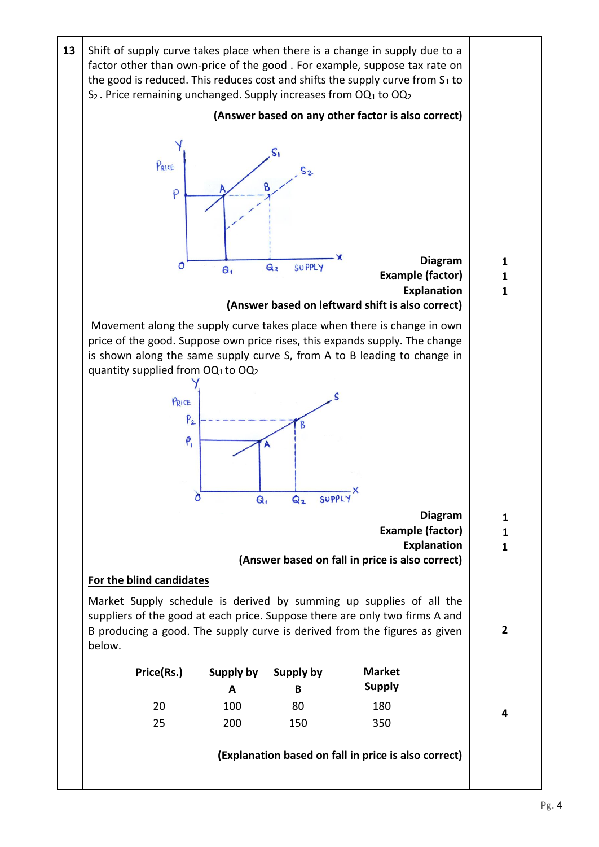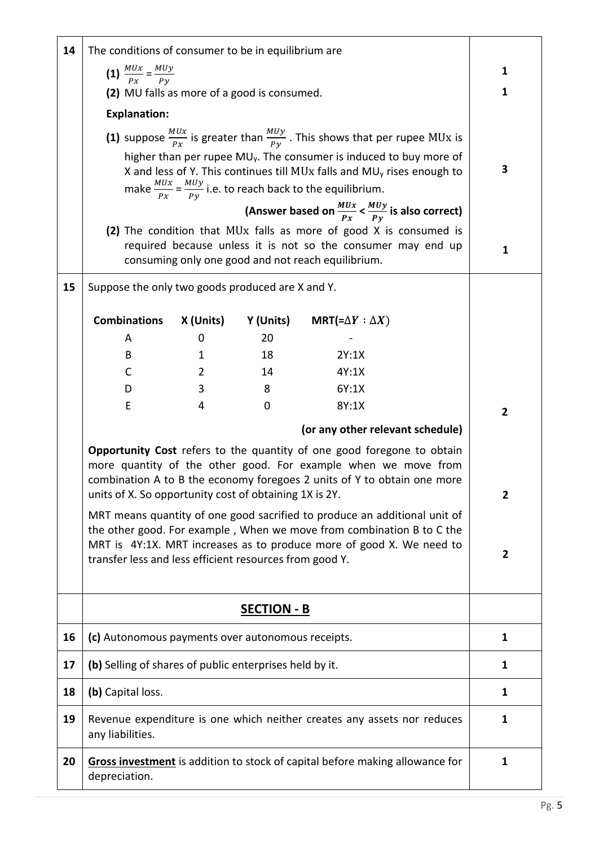| 14 | The conditions of consumer to be in equilibrium are                                                                                                                                                                                                                           |                                             |                    |                                                                                                                                                            |                |                |
|----|-------------------------------------------------------------------------------------------------------------------------------------------------------------------------------------------------------------------------------------------------------------------------------|---------------------------------------------|--------------------|------------------------------------------------------------------------------------------------------------------------------------------------------------|----------------|----------------|
|    | (1) $\frac{MUx}{Px} = \frac{MUy}{Py}$                                                                                                                                                                                                                                         |                                             |                    |                                                                                                                                                            |                | 1              |
|    |                                                                                                                                                                                                                                                                               | (2) MU falls as more of a good is consumed. |                    |                                                                                                                                                            |                | 1              |
|    | <b>Explanation:</b>                                                                                                                                                                                                                                                           |                                             |                    |                                                                                                                                                            |                |                |
|    |                                                                                                                                                                                                                                                                               |                                             |                    | (1) suppose $\frac{M U x}{P x}$ is greater than $\frac{M U y}{P y}$ . This shows that per rupee MUx is                                                     |                |                |
|    |                                                                                                                                                                                                                                                                               |                                             |                    | higher than per rupee $MU_y$ . The consumer is induced to buy more of                                                                                      |                |                |
|    |                                                                                                                                                                                                                                                                               |                                             |                    | X and less of Y. This continues till MUx falls and MU <sub>y</sub> rises enough to                                                                         |                | 3              |
|    |                                                                                                                                                                                                                                                                               |                                             |                    | make $\frac{MUx}{Px} = \frac{MUy}{Py}$ i.e. to reach back to the equilibrium.<br>(Answer based on $\frac{M U x}{P x} < \frac{M U y}{P y}$ is also correct) |                |                |
|    |                                                                                                                                                                                                                                                                               |                                             |                    |                                                                                                                                                            |                |                |
|    | (2) The condition that MUx falls as more of good X is consumed is<br>required because unless it is not so the consumer may end up<br>consuming only one good and not reach equilibrium.                                                                                       |                                             |                    |                                                                                                                                                            | 1              |                |
| 15 | Suppose the only two goods produced are X and Y.                                                                                                                                                                                                                              |                                             |                    |                                                                                                                                                            |                |                |
|    | <b>Combinations</b>                                                                                                                                                                                                                                                           | X (Units)                                   | Y (Units)          | MRT(= $\Delta Y : \Delta X$ )                                                                                                                              |                |                |
|    | A                                                                                                                                                                                                                                                                             | 0                                           | 20                 |                                                                                                                                                            |                |                |
|    | B                                                                                                                                                                                                                                                                             | 1                                           | 18                 | 2Y:1X                                                                                                                                                      |                |                |
|    | C<br>D                                                                                                                                                                                                                                                                        | 2<br>3                                      | 14<br>8            | 4Y:1X<br>6Y:1X                                                                                                                                             |                |                |
|    | E                                                                                                                                                                                                                                                                             | 4                                           | $\mathbf 0$        | 8Y:1X                                                                                                                                                      |                |                |
|    |                                                                                                                                                                                                                                                                               |                                             |                    | (or any other relevant schedule)                                                                                                                           |                | $\overline{2}$ |
|    | Opportunity Cost refers to the quantity of one good foregone to obtain<br>more quantity of the other good. For example when we move from<br>combination A to B the economy foregoes 2 units of Y to obtain one more<br>units of X. So opportunity cost of obtaining 1X is 2Y. |                                             |                    |                                                                                                                                                            | $\overline{2}$ |                |
|    | MRT means quantity of one good sacrified to produce an additional unit of                                                                                                                                                                                                     |                                             |                    |                                                                                                                                                            |                |                |
|    | the other good. For example, When we move from combination B to C the<br>MRT is 4Y:1X. MRT increases as to produce more of good X. We need to                                                                                                                                 |                                             |                    |                                                                                                                                                            |                |                |
|    | transfer less and less efficient resources from good Y.                                                                                                                                                                                                                       |                                             |                    |                                                                                                                                                            | $\mathbf{2}$   |                |
|    |                                                                                                                                                                                                                                                                               |                                             | <b>SECTION - B</b> |                                                                                                                                                            |                |                |
| 16 | (c) Autonomous payments over autonomous receipts.                                                                                                                                                                                                                             |                                             |                    | 1                                                                                                                                                          |                |                |
| 17 | (b) Selling of shares of public enterprises held by it.                                                                                                                                                                                                                       |                                             |                    | 1                                                                                                                                                          |                |                |
| 18 | (b) Capital loss.                                                                                                                                                                                                                                                             |                                             |                    | 1                                                                                                                                                          |                |                |
| 19 | Revenue expenditure is one which neither creates any assets nor reduces<br>any liabilities.                                                                                                                                                                                   |                                             |                    | 1                                                                                                                                                          |                |                |
| 20 | Gross investment is addition to stock of capital before making allowance for<br>depreciation.                                                                                                                                                                                 |                                             |                    | $\mathbf{1}$                                                                                                                                               |                |                |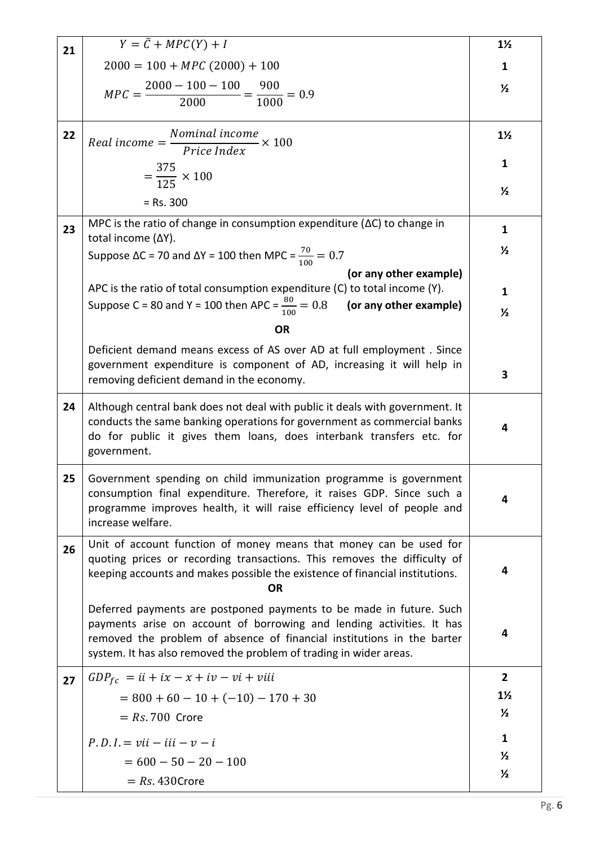| 21 | $Y = \overline{C} + MPC(Y) + I$                                                                                                                                                                                                                                                              | $1\frac{1}{2}$ |  |  |
|----|----------------------------------------------------------------------------------------------------------------------------------------------------------------------------------------------------------------------------------------------------------------------------------------------|----------------|--|--|
|    | $2000 = 100 + MPC (2000) + 100$                                                                                                                                                                                                                                                              |                |  |  |
|    | $MPC = \frac{2000 - 100 - 100}{2000} = \frac{900}{1000} = 0.9$                                                                                                                                                                                                                               |                |  |  |
|    |                                                                                                                                                                                                                                                                                              |                |  |  |
|    |                                                                                                                                                                                                                                                                                              |                |  |  |
| 22 | $Real income = \frac{Nominal income}{Price Index} \times 100$                                                                                                                                                                                                                                | $1\frac{1}{2}$ |  |  |
|    |                                                                                                                                                                                                                                                                                              | $\mathbf{1}$   |  |  |
|    | $=\frac{375}{125} \times 100$                                                                                                                                                                                                                                                                |                |  |  |
|    | $=$ Rs. 300                                                                                                                                                                                                                                                                                  | $\frac{1}{2}$  |  |  |
| 23 | MPC is the ratio of change in consumption expenditure ( $\Delta C$ ) to change in                                                                                                                                                                                                            | $\mathbf{1}$   |  |  |
|    | total income (ΔY).<br>Suppose ΔC = 70 and ΔY = 100 then MPC = $\frac{70}{100}$ = 0.7                                                                                                                                                                                                         |                |  |  |
|    | (or any other example)                                                                                                                                                                                                                                                                       |                |  |  |
|    | APC is the ratio of total consumption expenditure (C) to total income (Y).                                                                                                                                                                                                                   |                |  |  |
|    | Suppose C = 80 and Y = 100 then APC = $\frac{80}{100}$ = 0.8 (or any other example)                                                                                                                                                                                                          | $\frac{1}{2}$  |  |  |
|    | <b>OR</b>                                                                                                                                                                                                                                                                                    |                |  |  |
|    | Deficient demand means excess of AS over AD at full employment. Since                                                                                                                                                                                                                        |                |  |  |
|    | government expenditure is component of AD, increasing it will help in                                                                                                                                                                                                                        |                |  |  |
|    | removing deficient demand in the economy.                                                                                                                                                                                                                                                    | 3              |  |  |
| 24 | Although central bank does not deal with public it deals with government. It<br>conducts the same banking operations for government as commercial banks<br>do for public it gives them loans, does interbank transfers etc. for<br>government.                                               |                |  |  |
| 25 | Government spending on child immunization programme is government<br>consumption final expenditure. Therefore, it raises GDP. Since such a<br>programme improves health, it will raise efficiency level of people and<br>increase welfare.                                                   | 4              |  |  |
| 26 | Unit of account function of money means that money can be used for<br>quoting prices or recording transactions. This removes the difficulty of<br>keeping accounts and makes possible the existence of financial institutions.<br>ΟR                                                         | 4              |  |  |
|    | Deferred payments are postponed payments to be made in future. Such<br>payments arise on account of borrowing and lending activities. It has<br>removed the problem of absence of financial institutions in the barter<br>system. It has also removed the problem of trading in wider areas. | 4              |  |  |
| 27 | $GDP_{fc} = ii + ix - x + iv - vi + viii$                                                                                                                                                                                                                                                    | $\overline{2}$ |  |  |
|    | $= 800 + 60 - 10 + (-10) - 170 + 30$                                                                                                                                                                                                                                                         | $1\frac{1}{2}$ |  |  |
|    | $= Rs. 700$ Crore                                                                                                                                                                                                                                                                            |                |  |  |
|    | $P.D.I = vii - iii - v - i$                                                                                                                                                                                                                                                                  | $\mathbf{1}$   |  |  |
|    | $= 600 - 50 - 20 - 100$                                                                                                                                                                                                                                                                      | $\frac{1}{2}$  |  |  |
|    | $= Rs. 430$ Crore                                                                                                                                                                                                                                                                            | $\frac{1}{2}$  |  |  |
|    |                                                                                                                                                                                                                                                                                              |                |  |  |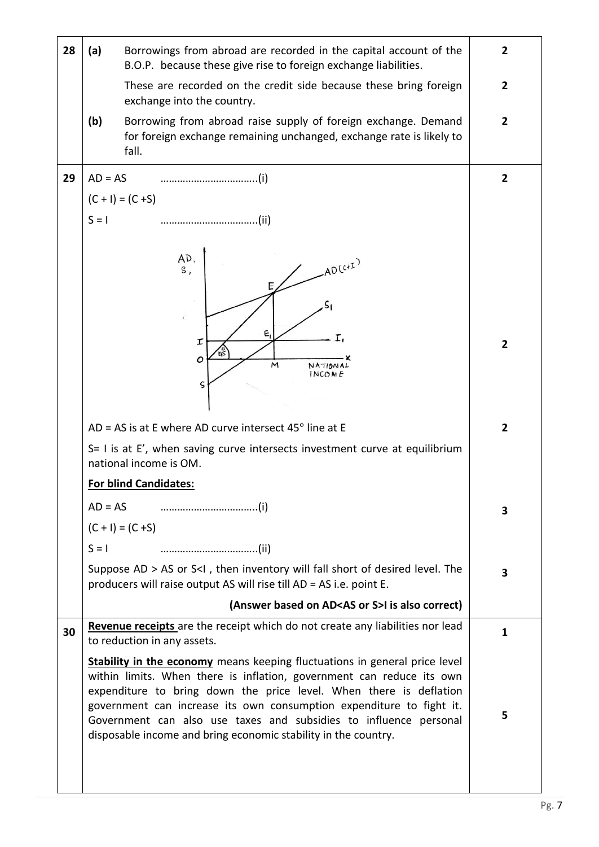| 28 | (a)<br>Borrowings from abroad are recorded in the capital account of the<br>B.O.P. because these give rise to foreign exchange liabilities.                                          |                                                                                                                                                                                                                                                                                                                                                                                                                                                 |                |  |  |
|----|--------------------------------------------------------------------------------------------------------------------------------------------------------------------------------------|-------------------------------------------------------------------------------------------------------------------------------------------------------------------------------------------------------------------------------------------------------------------------------------------------------------------------------------------------------------------------------------------------------------------------------------------------|----------------|--|--|
|    |                                                                                                                                                                                      | These are recorded on the credit side because these bring foreign<br>exchange into the country.                                                                                                                                                                                                                                                                                                                                                 | $\mathbf{2}$   |  |  |
|    | (b)                                                                                                                                                                                  | Borrowing from abroad raise supply of foreign exchange. Demand<br>for foreign exchange remaining unchanged, exchange rate is likely to<br>fall.                                                                                                                                                                                                                                                                                                 | $\overline{2}$ |  |  |
| 29 | $AD = AS$                                                                                                                                                                            |                                                                                                                                                                                                                                                                                                                                                                                                                                                 | $\overline{2}$ |  |  |
|    | $(C + I) = (C + S)$                                                                                                                                                                  |                                                                                                                                                                                                                                                                                                                                                                                                                                                 |                |  |  |
|    | $S = I$                                                                                                                                                                              |                                                                                                                                                                                                                                                                                                                                                                                                                                                 |                |  |  |
|    |                                                                                                                                                                                      | AD,<br>$-AD(C+I)$<br>S,<br>Е,                                                                                                                                                                                                                                                                                                                                                                                                                   |                |  |  |
|    |                                                                                                                                                                                      | I,<br>Ι<br>'nŠ<br>ο<br>м<br>NATIONAL<br>INCOME<br>$\varsigma$                                                                                                                                                                                                                                                                                                                                                                                   | $\overline{2}$ |  |  |
|    | AD = AS is at E where AD curve intersect $45^\circ$ line at E                                                                                                                        |                                                                                                                                                                                                                                                                                                                                                                                                                                                 |                |  |  |
|    | S= I is at E', when saving curve intersects investment curve at equilibrium<br>national income is OM.                                                                                |                                                                                                                                                                                                                                                                                                                                                                                                                                                 |                |  |  |
|    | <b>For blind Candidates:</b>                                                                                                                                                         |                                                                                                                                                                                                                                                                                                                                                                                                                                                 |                |  |  |
|    |                                                                                                                                                                                      |                                                                                                                                                                                                                                                                                                                                                                                                                                                 |                |  |  |
|    | $(C + I) = (C + S)$                                                                                                                                                                  |                                                                                                                                                                                                                                                                                                                                                                                                                                                 |                |  |  |
|    | $S = I$                                                                                                                                                                              |                                                                                                                                                                                                                                                                                                                                                                                                                                                 |                |  |  |
|    | Suppose AD > AS or S <i, desired="" fall="" inventory="" level.="" of="" short="" the<br="" then="" will="">producers will raise output AS will rise till AD = AS i.e. point E.</i,> |                                                                                                                                                                                                                                                                                                                                                                                                                                                 |                |  |  |
|    | (Answer based on AD <as or="" s="">I is also correct)</as>                                                                                                                           |                                                                                                                                                                                                                                                                                                                                                                                                                                                 |                |  |  |
| 30 |                                                                                                                                                                                      | Revenue receipts are the receipt which do not create any liabilities nor lead<br>to reduction in any assets.                                                                                                                                                                                                                                                                                                                                    | 1              |  |  |
|    |                                                                                                                                                                                      | <b>Stability in the economy</b> means keeping fluctuations in general price level<br>within limits. When there is inflation, government can reduce its own<br>expenditure to bring down the price level. When there is deflation<br>government can increase its own consumption expenditure to fight it.<br>Government can also use taxes and subsidies to influence personal<br>disposable income and bring economic stability in the country. | 5              |  |  |
|    |                                                                                                                                                                                      |                                                                                                                                                                                                                                                                                                                                                                                                                                                 |                |  |  |